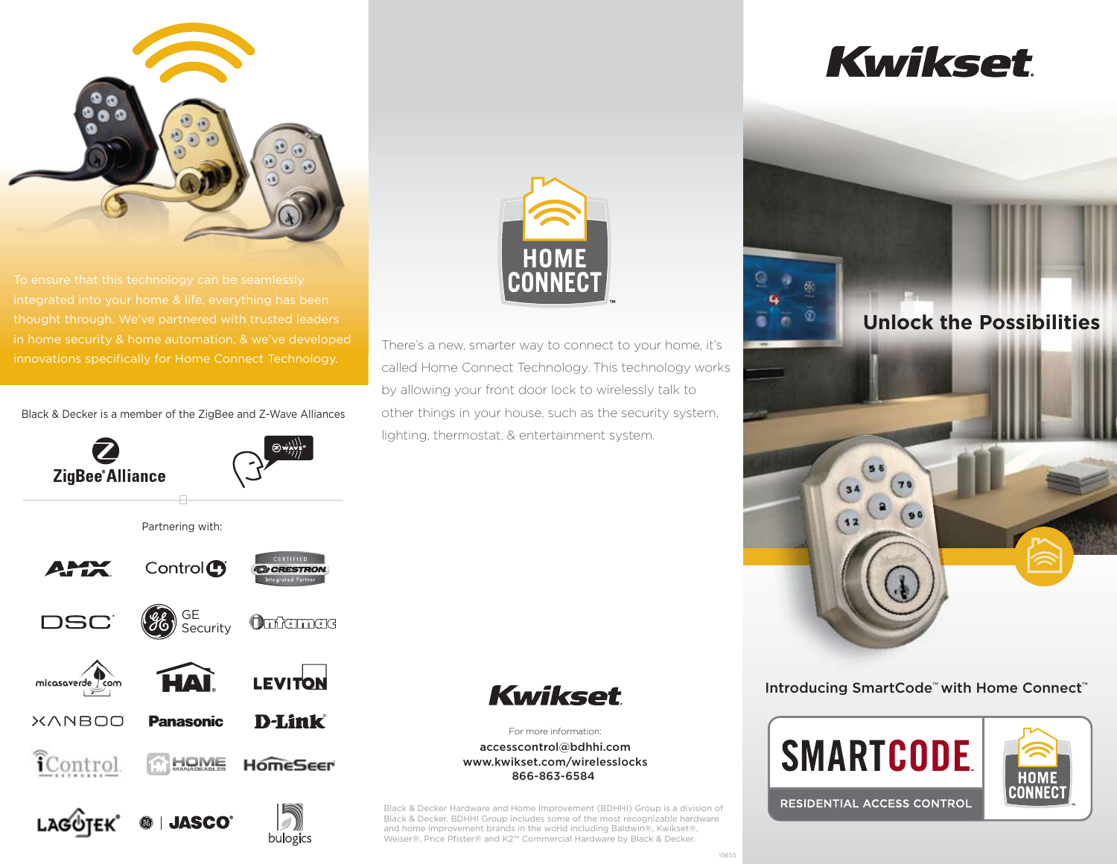

innovations specifically for Home Connect Technology.

Black & Decker is a member of the ZigBee and Z-Wave Alliances



bulogics



There's a new, smarter way to connect to your home, it's called Home Connect Technology. This technology works by allowing your front door lock to wirelessly talk to other things in your house, such as the security system, lighting, thermostat, & entertainment system.



For more information: accesscontrol@bdhhi.com www.kwikset.com/wirelesslocks 866-863-6584

Black & Decker Hardware and Home Improvement (BDHHI) Group is a division of Black & Decker. BDHHI Group includes some of the most recognizable hardware and home improvement brands in the world including Baldwin®, Kwikset®, Weiser®, Price Pfister® and K2™ Commercial Hardware by Black & Decker.

# **Kwikset**



Introducing SmartCode™ with Home Connect™